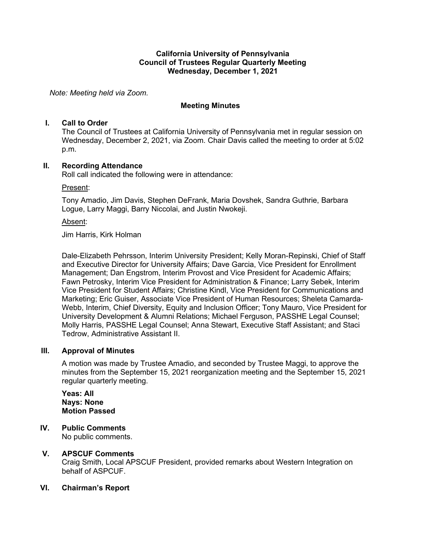#### **California University of Pennsylvania Council of Trustees Regular Quarterly Meeting Wednesday, December 1, 2021**

*Note: Meeting held via Zoom.*

## **Meeting Minutes**

#### **I. Call to Order**

The Council of Trustees at California University of Pennsylvania met in regular session on Wednesday, December 2, 2021, via Zoom. Chair Davis called the meeting to order at 5:02 p.m.

## **II. Recording Attendance**

Roll call indicated the following were in attendance:

Present:

Tony Amadio, Jim Davis, Stephen DeFrank, Maria Dovshek, Sandra Guthrie, Barbara Logue, Larry Maggi, Barry Niccolai, and Justin Nwokeji.

#### Absent:

Jim Harris, Kirk Holman

Dale-Elizabeth Pehrsson, Interim University President; Kelly Moran-Repinski, Chief of Staff and Executive Director for University Affairs; Dave Garcia, Vice President for Enrollment Management; Dan Engstrom, Interim Provost and Vice President for Academic Affairs; Fawn Petrosky, Interim Vice President for Administration & Finance; Larry Sebek, Interim Vice President for Student Affairs; Christine Kindl, Vice President for Communications and Marketing; Eric Guiser, Associate Vice President of Human Resources; Sheleta Camarda-Webb, Interim, Chief Diversity, Equity and Inclusion Officer; Tony Mauro, Vice President for University Development & Alumni Relations; Michael Ferguson, PASSHE Legal Counsel; Molly Harris, PASSHE Legal Counsel; Anna Stewart, Executive Staff Assistant; and Staci Tedrow, Administrative Assistant II.

## **III. Approval of Minutes**

A motion was made by Trustee Amadio, and seconded by Trustee Maggi, to approve the minutes from the September 15, 2021 reorganization meeting and the September 15, 2021 regular quarterly meeting.

**Yeas: All Nays: None Motion Passed**

**IV. Public Comments**

No public comments.

## **V. APSCUF Comments**

Craig Smith, Local APSCUF President, provided remarks about Western Integration on behalf of ASPCUF.

## **VI. Chairman's Report**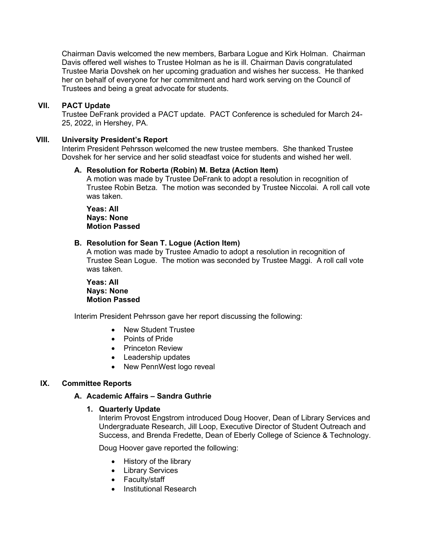Chairman Davis welcomed the new members, Barbara Logue and Kirk Holman. Chairman Davis offered well wishes to Trustee Holman as he is ill. Chairman Davis congratulated Trustee Maria Dovshek on her upcoming graduation and wishes her success. He thanked her on behalf of everyone for her commitment and hard work serving on the Council of Trustees and being a great advocate for students.

#### **VII. PACT Update**

Trustee DeFrank provided a PACT update. PACT Conference is scheduled for March 24- 25, 2022, in Hershey, PA.

#### **VIII. University President's Report**

Interim President Pehrsson welcomed the new trustee members. She thanked Trustee Dovshek for her service and her solid steadfast voice for students and wished her well.

#### **A. Resolution for Roberta (Robin) M. Betza (Action Item)**

A motion was made by Trustee DeFrank to adopt a resolution in recognition of Trustee Robin Betza. The motion was seconded by Trustee Niccolai. A roll call vote was taken.

**Yeas: All Nays: None Motion Passed**

#### **B. Resolution for Sean T. Logue (Action Item)**

A motion was made by Trustee Amadio to adopt a resolution in recognition of Trustee Sean Logue. The motion was seconded by Trustee Maggi. A roll call vote was taken.

**Yeas: All Nays: None Motion Passed**

Interim President Pehrsson gave her report discussing the following:

- New Student Trustee
- Points of Pride
- Princeton Review
- Leadership updates
- New PennWest logo reveal

## **IX. Committee Reports**

#### **A. Academic Affairs – Sandra Guthrie**

#### **1. Quarterly Update**

Interim Provost Engstrom introduced Doug Hoover, Dean of Library Services and Undergraduate Research, Jill Loop, Executive Director of Student Outreach and Success, and Brenda Fredette, Dean of Eberly College of Science & Technology.

Doug Hoover gave reported the following:

- History of the library
- Library Services
- Faculty/staff
- Institutional Research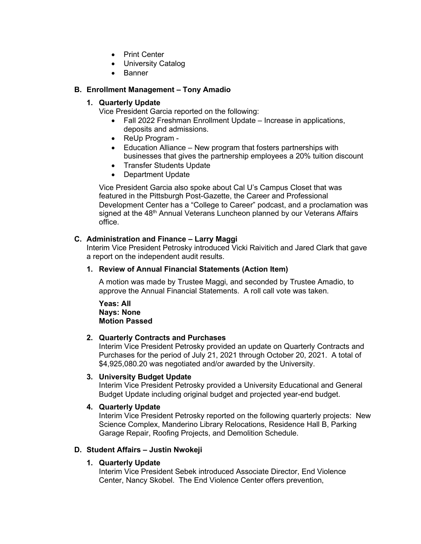- Print Center
- University Catalog
- Banner

## **B. Enrollment Management – Tony Amadio**

## **1. Quarterly Update**

Vice President Garcia reported on the following:

- Fall 2022 Freshman Enrollment Update Increase in applications, deposits and admissions.
- ReUp Program -
- Education Alliance New program that fosters partnerships with businesses that gives the partnership employees a 20% tuition discount
- Transfer Students Update
- Department Update

Vice President Garcia also spoke about Cal U's Campus Closet that was featured in the Pittsburgh Post-Gazette, the Career and Professional Development Center has a "College to Career" podcast, and a proclamation was signed at the 48<sup>th</sup> Annual Veterans Luncheon planned by our Veterans Affairs office.

## **C. Administration and Finance – Larry Maggi**

Interim Vice President Petrosky introduced Vicki Raivitich and Jared Clark that gave a report on the independent audit results.

## **1. Review of Annual Financial Statements (Action Item)**

A motion was made by Trustee Maggi, and seconded by Trustee Amadio, to approve the Annual Financial Statements. A roll call vote was taken.

**Yeas: All Nays: None Motion Passed**

## **2. Quarterly Contracts and Purchases**

Interim Vice President Petrosky provided an update on Quarterly Contracts and Purchases for the period of July 21, 2021 through October 20, 2021. A total of \$4,925,080.20 was negotiated and/or awarded by the University.

## **3. University Budget Update**

Interim Vice President Petrosky provided a University Educational and General Budget Update including original budget and projected year-end budget.

## **4. Quarterly Update**

Interim Vice President Petrosky reported on the following quarterly projects: New Science Complex, Manderino Library Relocations, Residence Hall B, Parking Garage Repair, Roofing Projects, and Demolition Schedule.

## **D. Student Affairs – Justin Nwokeji**

# **1. Quarterly Update**

Interim Vice President Sebek introduced Associate Director, End Violence Center, Nancy Skobel. The End Violence Center offers prevention,